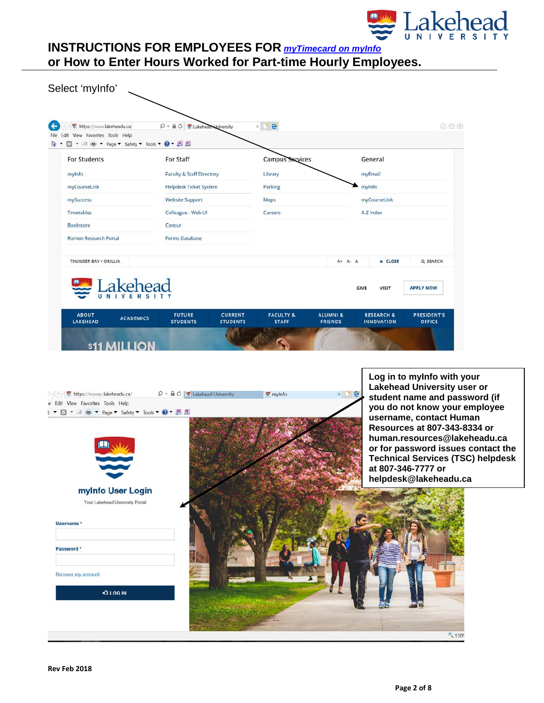

| https://www.lakeheadu.ca/                    |                                                               |                                   |                                      |                                       |                                            |                                                                                |  |  |
|----------------------------------------------|---------------------------------------------------------------|-----------------------------------|--------------------------------------|---------------------------------------|--------------------------------------------|--------------------------------------------------------------------------------|--|--|
| Edit View Favorites Tools Help               | $O - \triangle$ $\bigcirc$ $\bigcirc$ Lakehead University     |                                   | $\times$ $\bullet$                   |                                       |                                            | 命众鱼                                                                            |  |  |
| 图 ▼ 三 — → Page ▼ Safety ▼ Tools ▼ ● ▼ 图 图    |                                                               |                                   |                                      |                                       |                                            |                                                                                |  |  |
| <b>For Students</b>                          | For Staff                                                     |                                   | <b>Campus Services</b>               |                                       | General                                    |                                                                                |  |  |
| mylnfo                                       | <b>Faculty &amp; Staff Directory</b>                          |                                   | Library                              |                                       | myEmail                                    |                                                                                |  |  |
| myCourseLink                                 | Helpdesk Ticket System                                        |                                   | Parking                              |                                       | mylnfo                                     |                                                                                |  |  |
| mySuccess                                    | <b>Website Support</b>                                        |                                   | Maps                                 |                                       | myCourseLink                               |                                                                                |  |  |
| <b>Timetables</b>                            | Colleague - Web UI                                            |                                   | Careers                              |                                       | A-Z Index                                  |                                                                                |  |  |
| Bookstore                                    | Concur                                                        |                                   |                                      |                                       |                                            |                                                                                |  |  |
| Romeo Research Portal                        | <b>Forms Database</b>                                         |                                   |                                      |                                       |                                            |                                                                                |  |  |
| THUNDER BAY . ORILLIA                        |                                                               |                                   |                                      | A+ A- A                               | <b>x</b> CLOSE                             | Q SEARCH                                                                       |  |  |
|                                              |                                                               |                                   |                                      |                                       |                                            |                                                                                |  |  |
| Lakehead                                     |                                                               |                                   |                                      |                                       | <b>VISIT</b><br>GIVE                       | <b>APPLY NOW</b>                                                               |  |  |
|                                              |                                                               |                                   |                                      |                                       |                                            |                                                                                |  |  |
|                                              |                                                               |                                   |                                      |                                       |                                            |                                                                                |  |  |
| <b>ABOUT</b><br><b>ACADEMICS</b><br>LAKEHEAD | <b>FUTURE</b><br><b>STUDENTS</b>                              | <b>CURRENT</b><br><b>STUDENTS</b> | <b>FACULTY &amp;</b><br><b>STAFF</b> | <b>ALUMNI &amp;</b><br><b>FRIENDS</b> | <b>RESEARCH &amp;</b><br><b>INNOVATION</b> | PRESIDENT'S<br><b>OFFICE</b>                                                   |  |  |
|                                              |                                                               |                                   |                                      |                                       |                                            |                                                                                |  |  |
| \$11 MILLION                                 |                                                               |                                   |                                      |                                       |                                            |                                                                                |  |  |
|                                              |                                                               |                                   |                                      |                                       |                                            |                                                                                |  |  |
|                                              |                                                               |                                   |                                      |                                       |                                            | Log in to myInfo with your                                                     |  |  |
| https://erpwp.lakeheadu.ca/                  | $\varphi \cdot \triangleq C$ $\heartsuit$ Lakehead University |                                   | ₩ mylnfo                             | $*$ $e$                               |                                            | Lakehead University user or<br>student name and password (if                   |  |  |
| e Edit View Favorites Tools Help             |                                                               |                                   |                                      |                                       |                                            | you do not know your employee                                                  |  |  |
| ▼ 国 (W Fage ▼ Safety ▼ Tools ▼ 2 ▼ W M<br>M  |                                                               |                                   |                                      |                                       |                                            | username, contact Human                                                        |  |  |
|                                              |                                                               |                                   |                                      |                                       |                                            | Resources at 807-343-8334 or                                                   |  |  |
|                                              |                                                               |                                   |                                      |                                       |                                            | human.resources@lakeheadu.ca                                                   |  |  |
|                                              |                                                               |                                   |                                      |                                       |                                            | or for password issues contact the<br><b>Technical Services (TSC) helpdesk</b> |  |  |
|                                              |                                                               |                                   |                                      |                                       |                                            | at 807-346-7777 or                                                             |  |  |
|                                              |                                                               |                                   |                                      |                                       |                                            | helpdesk@lakeheadu.ca                                                          |  |  |
| myInfo User Login                            |                                                               |                                   |                                      |                                       |                                            |                                                                                |  |  |
| Your Lakehead University Portal              |                                                               |                                   |                                      |                                       |                                            |                                                                                |  |  |
|                                              |                                                               |                                   |                                      |                                       |                                            |                                                                                |  |  |
| Username *                                   |                                                               |                                   |                                      |                                       |                                            |                                                                                |  |  |
|                                              |                                                               |                                   |                                      |                                       |                                            |                                                                                |  |  |
| Password <sup>*</sup>                        |                                                               |                                   |                                      |                                       |                                            |                                                                                |  |  |
|                                              |                                                               |                                   |                                      |                                       |                                            |                                                                                |  |  |
|                                              |                                                               |                                   |                                      |                                       |                                            |                                                                                |  |  |
| Recover my account                           |                                                               |                                   |                                      |                                       |                                            |                                                                                |  |  |
| +3 LOG IN                                    |                                                               |                                   |                                      |                                       |                                            |                                                                                |  |  |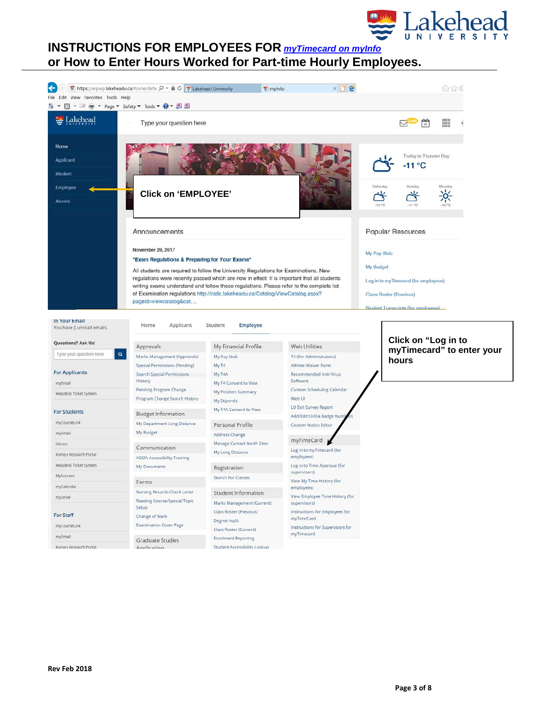

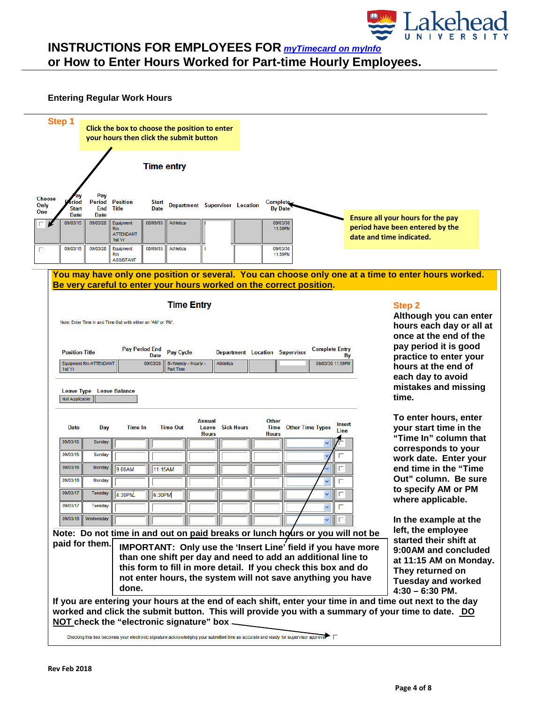

#### **Entering Regular Work Hours**



Checking this box becomes your electronic signature acknowledging your submitted time as accurate and ready for supervisor approva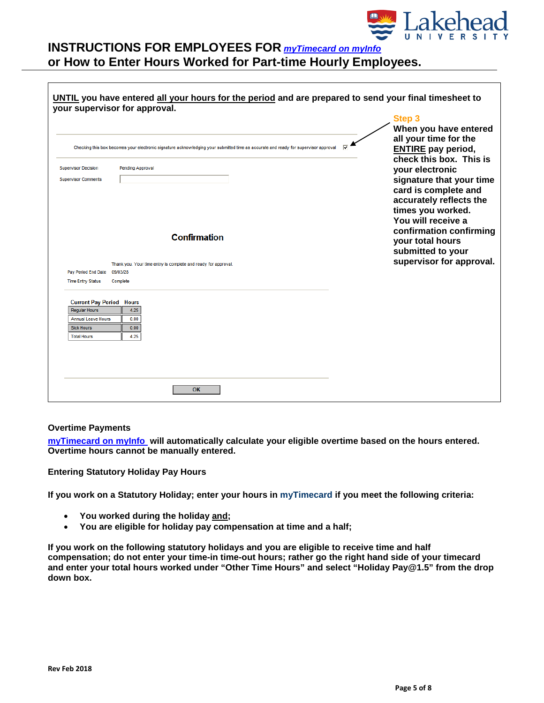

|                                                                                                                                                             |                                                                                                                                     | Step 3<br>When you have entered                                                                                                                                                            |
|-------------------------------------------------------------------------------------------------------------------------------------------------------------|-------------------------------------------------------------------------------------------------------------------------------------|--------------------------------------------------------------------------------------------------------------------------------------------------------------------------------------------|
|                                                                                                                                                             | Checking this box becomes your electronic signature acknowledging your submitted time as accurate and ready for supervisor approval | all your time for the<br><b>ENTIRE</b> pay period,<br>check this box. This is                                                                                                              |
| <b>Supervisor Decision</b>                                                                                                                                  | Pending Approval                                                                                                                    | your electronic                                                                                                                                                                            |
| <b>Supervisor Comments</b>                                                                                                                                  |                                                                                                                                     | signature that your time                                                                                                                                                                   |
| Pay Period End Date                                                                                                                                         | <b>Confirmation</b><br>Thank you. Your time entry is complete and ready for approval.<br>09/03/28                                   | card is complete and<br>accurately reflects the<br>times you worked.<br>You will receive a<br>confirmation confirming<br>your total hours<br>submitted to your<br>supervisor for approval. |
| <b>Time Entry Status</b><br><b>Current Pay Period Hours</b><br><b>Regular Hours</b><br><b>Annual Leave Hours</b><br><b>Sick Hours</b><br><b>Total Hours</b> | Complete<br>4.25<br>0.00<br>0.00<br>4.25                                                                                            |                                                                                                                                                                                            |

#### **Overtime Payments**

**[myTimecard on myInfo](https://erpwp.lakeheadu.ca/) will automatically calculate your eligible overtime based on the hours entered. Overtime hours cannot be manually entered.** 

**Entering Statutory Holiday Pay Hours**

**If you work on a Statutory Holiday; enter your hours in myTimecard if you meet the following criteria:**

- **You worked during the holiday and;**
- **You are eligible for holiday pay compensation at time and a half;**

**If you work on the following statutory holidays and you are eligible to receive time and half compensation; do not enter your time-in time-out hours; rather go the right hand side of your timecard and enter your total hours worked under "Other Time Hours" and select "Holiday Pay@1.5" from the drop down box.**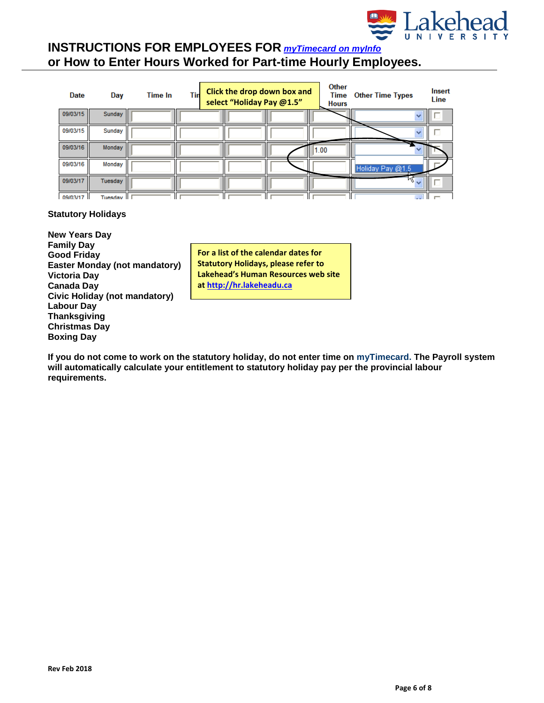

| <b>Date</b> | Day        | Time In | Tin | select "Holiday Pay @1.5" | Click the drop down box and | <b>Other</b><br>Time<br><b>Hours</b> | <b>Other Time Types</b> | Insert<br>Line       |
|-------------|------------|---------|-----|---------------------------|-----------------------------|--------------------------------------|-------------------------|----------------------|
| 09/03/15    | Sunday     |         |     |                           |                             |                                      |                         | $\checkmark$         |
| 09/03/15    | Sunday     |         |     |                           |                             |                                      |                         |                      |
| 09/03/16    | Monday     |         |     |                           |                             | 1.00                                 |                         |                      |
| 09/03/16    | Monday     |         |     |                           |                             |                                      | Holiday Pay @1.5        |                      |
| 09/03/17    | Tuesday    |         |     |                           |                             |                                      | $W_{\nu}$               |                      |
| 09/03/17    | Tuesdav II |         |     |                           |                             |                                      |                         | $\sim$ $\sim$ $\sim$ |

### **Statutory Holidays**

**New Years Day Family Day Good Friday Easter Monday (not mandatory) Victoria Day Canada Day Civic Holiday (not mandatory) Labour Day Thanksgiving Christmas Day Boxing Day**

**For a list of the calendar dates for Statutory Holidays, please refer to Lakehead's Human Resources web site at [http://hr.lakeheadu.ca](http://hr.lakeheadu.ca/wp/?pg=115)**

**If you do not come to work on the statutory holiday, do not enter time on myTimecard. The Payroll system will automatically calculate your entitlement to statutory holiday pay per the provincial labour requirements.**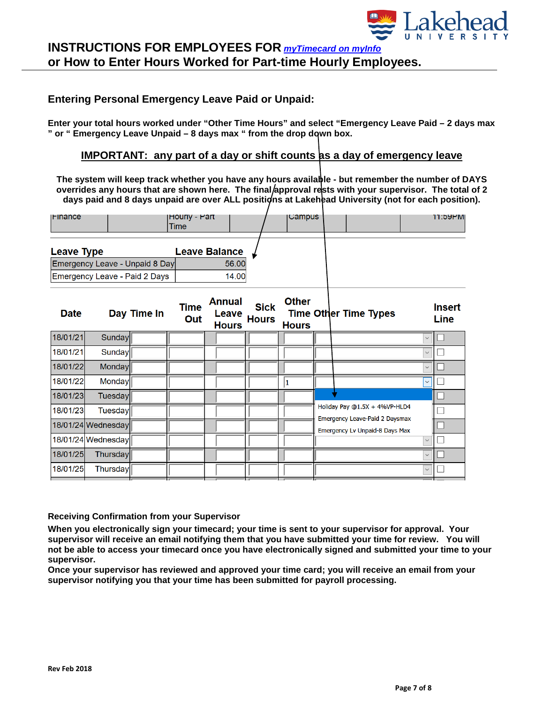

## **Entering Personal Emergency Leave Paid or Unpaid:**

**Enter your total hours worked under "Other Time Hours" and select "Emergency Leave Paid – 2 days max " or " Emergency Leave Unpaid – 8 days max " from the drop down box.**

### **IMPORTANT: any part of a day or shift counts as a day of emergency leave**

**The system will keep track whether you have any hours available - but remember the number of DAYS**  overrides any hours that are shown here. The final approval rests with your supervisor. The total of 2 days paid and 8 days unpaid are over ALL positions at Lakehead University (not for each position).

| <b>Finance</b>                 | <b>Hourly - Part</b><br>Time |       | ∣∪ampus |  | 11:59PM |
|--------------------------------|------------------------------|-------|---------|--|---------|
| <b>Leave Type</b>              | <b>Leave Balance</b>         |       |         |  |         |
| Emergency Leave - Unpaid 8 Day |                              | 56.00 |         |  |         |
| Emergency Leave - Paid 2 Days  |                              | 14.00 |         |  |         |
|                                |                              |       |         |  |         |

| <b>Date</b> |                    | Day Time In | <b>Time</b><br>Out | <b>Annual</b><br>Leave<br><b>Hours</b> | <b>Sick</b><br><b>Hours</b> | <b>Other</b><br><b>Hours</b> | <b>Time Other Time Types</b>                                            |              | <b>Insert</b><br><b>Line</b> |
|-------------|--------------------|-------------|--------------------|----------------------------------------|-----------------------------|------------------------------|-------------------------------------------------------------------------|--------------|------------------------------|
| 18/01/21    | Sunday             |             |                    |                                        |                             |                              |                                                                         | $\checkmark$ |                              |
| 18/01/21    | Sunday             |             |                    |                                        |                             |                              |                                                                         | $\checkmark$ |                              |
| 18/01/22    | Monday             |             |                    |                                        |                             |                              |                                                                         | $\checkmark$ |                              |
| 18/01/22    | <b>Monday</b>      |             |                    |                                        |                             |                              |                                                                         | $\checkmark$ |                              |
| 18/01/23    | <b>Tuesday</b>     |             |                    |                                        |                             |                              |                                                                         |              |                              |
| 18/01/23    | <b>Tuesday</b>     |             |                    |                                        |                             |                              | Holiday Pay @1.5X + 4%VP-HLD4                                           |              |                              |
|             | 18/01/24 Wednesday |             |                    |                                        |                             |                              | <b>Emergency Leave-Paid 2 Daysmax</b><br>Emergency Lv Unpaid-8 Days Max |              |                              |
|             | 18/01/24 Wednesday |             |                    |                                        |                             |                              |                                                                         | $\checkmark$ |                              |
| 18/01/25    | Thursday           |             |                    |                                        |                             |                              |                                                                         | $\checkmark$ |                              |
| 18/01/25    | Thursday           |             |                    |                                        |                             |                              |                                                                         | $\checkmark$ |                              |
|             |                    |             |                    |                                        |                             |                              |                                                                         |              |                              |

#### **Receiving Confirmation from your Supervisor**

**When you electronically sign your timecard; your time is sent to your supervisor for approval. Your supervisor will receive an email notifying them that you have submitted your time for review. You will not be able to access your timecard once you have electronically signed and submitted your time to your supervisor.**

**Once your supervisor has reviewed and approved your time card; you will receive an email from your supervisor notifying you that your time has been submitted for payroll processing.**